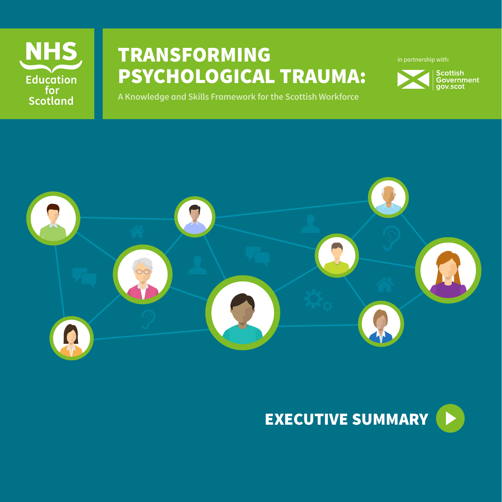

# TRANSFORMING PSYCHOLOGICAL TRAUMA:

in partnership with:



**A Knowledge and Skills Framework for the Scottish Workforce**



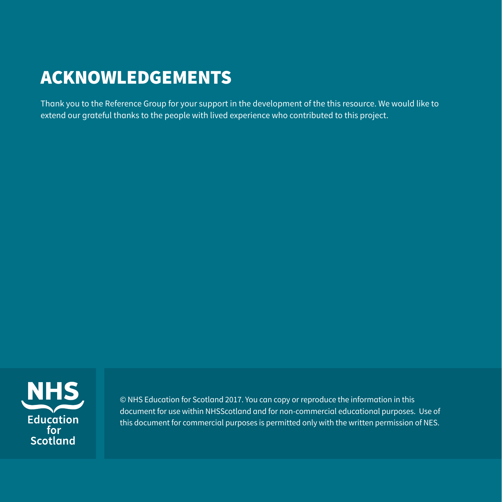# ACKNOWLEDGEMENTS

Thank you to the Reference Group for your support in the development of the this resource. We would like to extend our grateful thanks to the people with lived experience who contributed to this project.



© NHS Education for Scotland 2017. You can copy or reproduce the information in this document for use within NHSScotland and for non‑commercial educational purposes. Use of this document for commercial purposes is permitted only with the written permission of NES.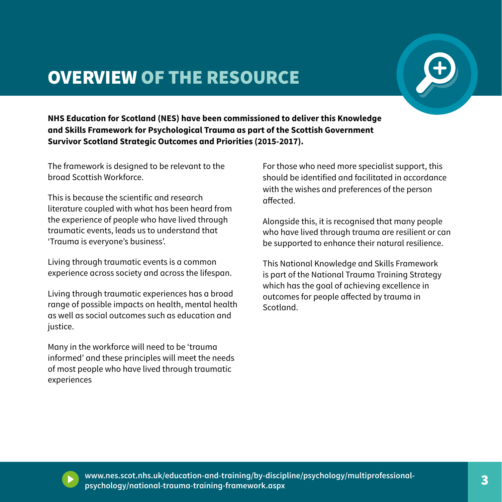## OVERVIEW OF THE RESOURCE



**NHS Education for Scotland (NES) have been commissioned to deliver this Knowledge and Skills Framework for Psychological Trauma as part of the Scottish Government Survivor Scotland Strategic Outcomes and Priorities (2015-2017).**

The framework is designed to be relevant to the broad Scottish Workforce.

This is because the scientific and research literature coupled with what has been heard from the experience of people who have lived through traumatic events, leads us to understand that 'Trauma is everyone's business'.

Living through traumatic events is a common experience across society and across the lifespan.

Living through traumatic experiences has a broad range of possible impacts on health, mental health as well as social outcomes such as education and justice.

Many in the workforce will need to be 'trauma informed' and these principles will meet the needs of most people who have lived through traumatic experiences

For those who need more specialist support, this should be identified and facilitated in accordance with the wishes and preferences of the person affected.

Alongside this, it is recognised that many people who have lived through trauma are resilient or can be supported to enhance their natural resilience.

This National Knowledge and Skills Framework is part of the National Trauma Training Strategy which has the goal of achieving excellence in outcomes for people affected by trauma in Scotland.



2 3 **www.nes.scot.nhs.uk/education-and-training/by-discipline/psychology/multiprofessionalpsychology/national-trauma-training-framework.aspx**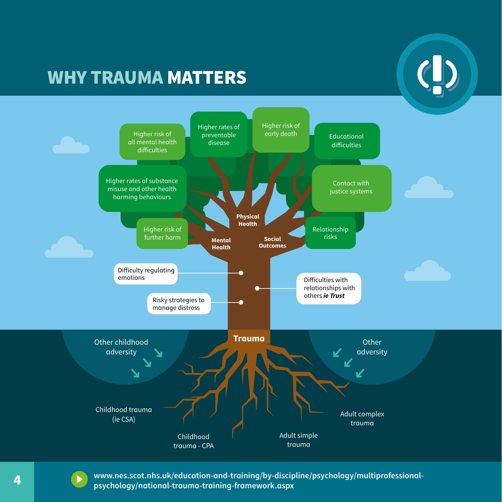### WHY TRAUMA MATTERS





4 **4** www.nes.scot.nhs.uk/education-and-training/by-discipline/psychology/multiprofessional**psychology/national-trauma-training-framework.aspx**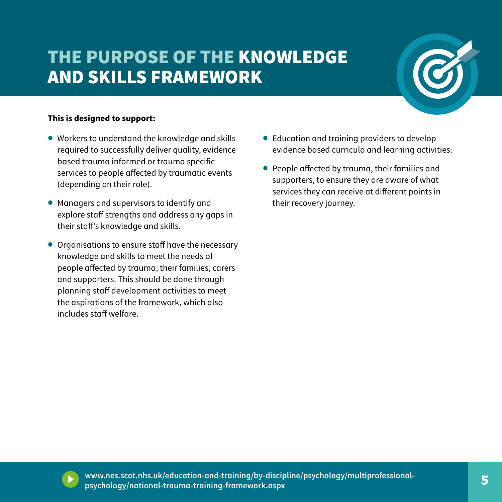# THE PURPOSE OF THE KNOWLEDGE AND SKILLS FRAMEWORK



#### **This is designed to support:**

- Workers to understand the knowledge and skills required to successfully deliver quality, evidence based trauma informed or trauma specific services to people affected by traumatic events (depending on their role).
- Managers and supervisors to identify and explore staff strengths and address any gaps in their staff's knowledge and skills.
- Organisations to ensure staff have the necessary knowledge and skills to meet the needs of people affected by trauma, their families, carers and supporters. This should be done through planning staff development activities to meet the aspirations of the framework, which also includes staff welfare.
- Education and training providers to develop evidence based curricula and learning activities.
- People affected by trauma, their families and supporters, to ensure they are aware of what services they can receive at different points in their recovery journey.



4 5 **www.nes.scot.nhs.uk/education-and-training/by-discipline/psychology/multiprofessionalpsychology/national-trauma-training-framework.aspx**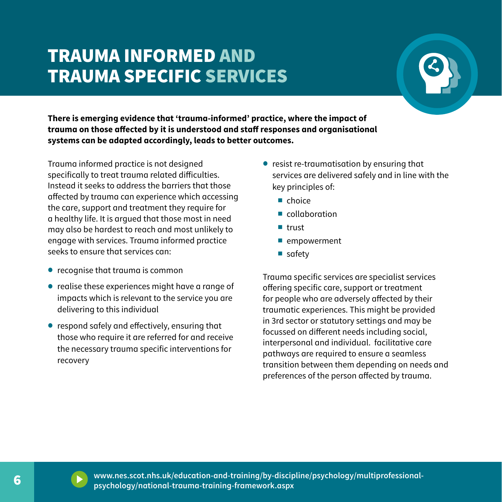## TRAUMA INFORMED AND TRAUMA SPECIFIC SERVICES



**There is emerging evidence that 'trauma-informed' practice, where the impact of trauma on those affected by it is understood and staff responses and organisational systems can be adapted accordingly, leads to better outcomes.** 

Trauma informed practice is not designed specifically to treat trauma related difficulties. Instead it seeks to address the barriers that those affected by trauma can experience which accessing the care, support and treatment they require for a healthy life. It is argued that those most in need may also be hardest to reach and most unlikely to engage with services. Trauma informed practice seeks to ensure that services can:

- recognise that trauma is common
- realise these experiences might have a range of impacts which is relevant to the service you are delivering to this individual
- respond safely and effectively, ensuring that those who require it are referred for and receive the necessary trauma specific interventions for recovery
- resist re-traumatisation by ensuring that services are delivered safely and in line with the key principles of:
	- choice
	- collaboration
	- § trust
	- empowerment
	- safety

Trauma specific services are specialist services offering specific care, support or treatment for people who are adversely affected by their traumatic experiences. This might be provided in 3rd sector or statutory settings and may be focussed on different needs including social, interpersonal and individual. facilitative care pathways are required to ensure a seamless transition between them depending on needs and preferences of the person affected by trauma.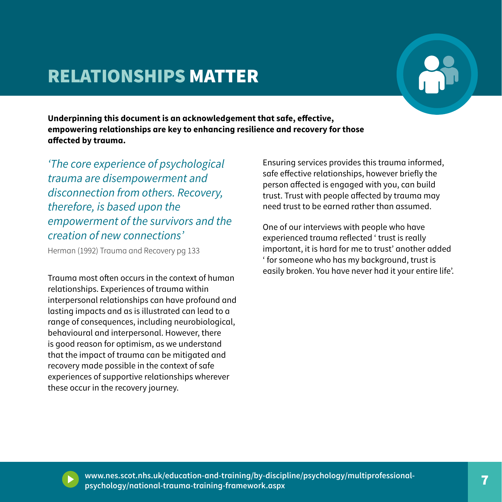### RELATIONSHIPS MATTER



**Underpinning this document is an acknowledgement that safe, effective, empowering relationships are key to enhancing resilience and recovery for those affected by trauma.** 

*'The core experience of psychological trauma are disempowerment and disconnection from others. Recovery, therefore, is based upon the empowerment of the survivors and the creation of new connections'*

Herman (1992) Trauma and Recovery pg 133

Trauma most often occurs in the context of human relationships. Experiences of trauma within interpersonal relationships can have profound and lasting impacts and as is illustrated can lead to a range of consequences, including neurobiological, behavioural and interpersonal. However, there is good reason for optimism, as we understand that the impact of trauma can be mitigated and recovery made possible in the context of safe experiences of supportive relationships wherever these occur in the recovery journey.

Ensuring services provides this trauma informed, safe effective relationships, however briefly the person affected is engaged with you, can build trust. Trust with people affected by trauma may need trust to be earned rather than assumed.

One of our interviews with people who have experienced trauma reflected ' trust is really important, it is hard for me to trust' another added ' for someone who has my background, trust is easily broken. You have never had it your entire life'.



6 7 **www.nes.scot.nhs.uk/education-and-training/by-discipline/psychology/multiprofessionalpsychology/national-trauma-training-framework.aspx**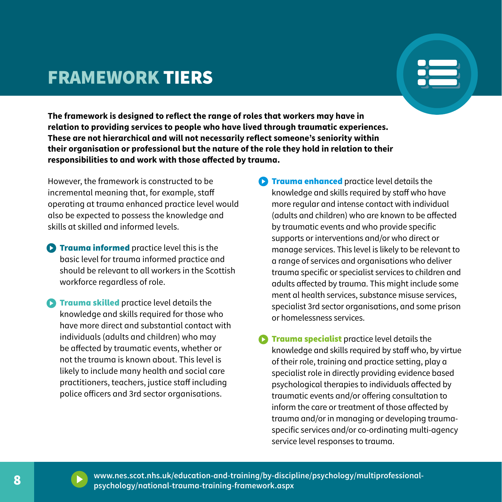#### FRAMEWORK TIERS



**The framework is designed to reflect the range of roles that workers may have in relation to providing services to people who have lived through traumatic experiences. These are not hierarchical and will not necessarily reflect someone's seniority within their organisation or professional but the nature of the role they hold in relation to their responsibilities to and work with those affected by trauma.** 

However, the framework is constructed to be incremental meaning that, for example, staff operating at trauma enhanced practice level would also be expected to possess the knowledge and skills at skilled and informed levels.

- **C** Trauma informed practice level this is the basic level for trauma informed practice and should be relevant to all workers in the Scottish workforce regardless of role.
- **C** Trauma skilled practice level details the knowledge and skills required for those who have more direct and substantial contact with individuals (adults and children) who may be affected by traumatic events, whether or not the trauma is known about. This level is likely to include many health and social care practitioners, teachers, justice staff including police officers and 3rd sector organisations.
- $\bullet$ **Trauma enhanced** practice level details the knowledge and skills required by staff who have more regular and intense contact with individual (adults and children) who are known to be affected by traumatic events and who provide specific supports or interventions and/or who direct or manage services. This level is likely to be relevant to a range of services and organisations who deliver trauma specific or specialist services to children and adults affected by trauma. This might include some ment al health services, substance misuse services, specialist 3rd sector organisations, and some prison or homelessness services.
- Trauma specialist practice level details the knowledge and skills required by staff who, by virtue of their role, training and practice setting, play a specialist role in directly providing evidence based psychological therapies to individuals affected by traumatic events and/or offering consultation to inform the care or treatment of those affected by trauma and/or in managing or developing traumaspecific services and/or co-ordinating multi-agency service level responses to trauma.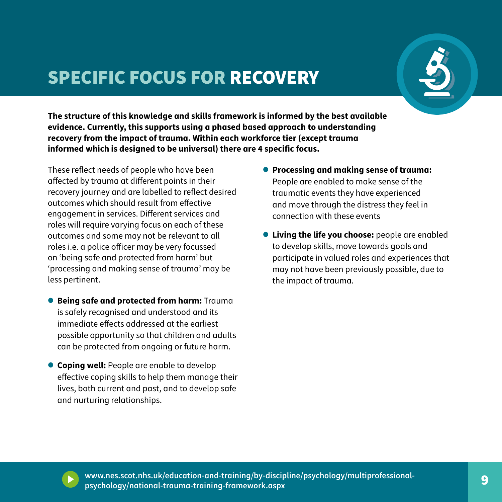## SPECIFIC FOCUS FOR RECOVERY



**The structure of this knowledge and skills framework is informed by the best available evidence. Currently, this supports using a phased based approach to understanding recovery from the impact of trauma. Within each workforce tier (except trauma informed which is designed to be universal) there are 4 specific focus.** 

These reflect needs of people who have been affected by trauma at different points in their recovery journey and are labelled to reflect desired outcomes which should result from effective engagement in services. Different services and roles will require varying focus on each of these outcomes and some may not be relevant to all roles i.e. a police officer may be very focussed on 'being safe and protected from harm' but 'processing and making sense of trauma' may be less pertinent.

- **• Being safe and protected from harm:** Trauma is safely recognised and understood and its immediate effects addressed at the earliest possible opportunity so that children and adults can be protected from ongoing or future harm.
- **• Coping well:** People are enable to develop effective coping skills to help them manage their lives, both current and past, and to develop safe and nurturing relationships.
- **• Processing and making sense of trauma:**  People are enabled to make sense of the traumatic events they have experienced and move through the distress they feel in connection with these events
- **• Living the life you choose:** people are enabled to develop skills, move towards goals and participate in valued roles and experiences that may not have been previously possible, due to the impact of trauma.



8 9 **www.nes.scot.nhs.uk/education-and-training/by-discipline/psychology/multiprofessionalpsychology/national-trauma-training-framework.aspx**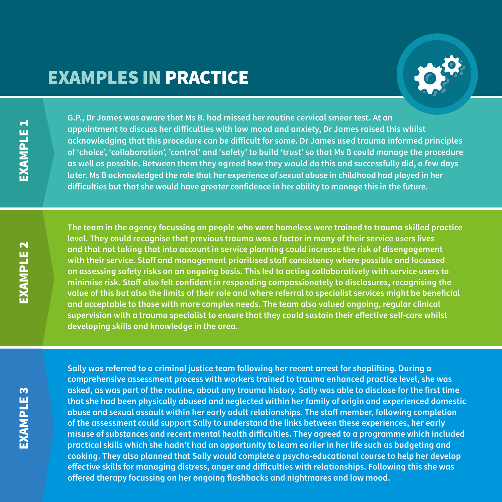#### EXAMPLES IN PRACTICE



**G.P., Dr James was aware that Ms B. had missed her routine cervical smear test. At an appointment to discuss her difficulties with low mood and anxiety, Dr James raised this whilst acknowledging that this procedure can be difficult for some. Dr James used trauma informed principles of 'choice', 'collaboration', 'control' and 'safety' to build 'trust' so that Ms B could manage the procedure as well as possible. Between them they agreed how they would do this and successfully did, a few days later. Ms B acknowledged the role that her experience of sexual abuse in childhood had played in her difficulties but that she would have greater confidence in her ability to manage this in the future.** 

**The team in the agency focussing on people who were homeless were trained to trauma skilled practice level. They could recognise that previous trauma was a factor in many of their service users lives and that not taking that into account in service planning could increase the risk of disengagement with their service. Staff and management prioritised staff consistency where possible and focussed on assessing safety risks on an ongoing basis. This led to acting collaboratively with service users to minimise risk. Staff also felt confident in responding compassionately to disclosures, recognising the value of this but also the limits of their role and where referral to specialist services might be beneficial and acceptable to those with more complex needs. The team also valued ongoing, regular clinical supervision with a trauma specialist to ensure that they could sustain their effective self-care whilst developing skills and knowledge in the area.**

10 11 **offered therapy focussing on her ongoing flashbacks and nightmares and low mood. Sally was referred to a criminal justice team following her recent arrest for shoplifting. During a comprehensive assessment process with workers trained to trauma enhanced practice level, she was asked, as was part of the routine, about any trauma history. Sally was able to disclose for the first time that she had been physically abused and neglected within her family of origin and experienced domestic abuse and sexual assault within her early adult relationships. The staff member, following completion of the assessment could support Sally to understand the links between these experiences, her early misuse of substances and recent mental health difficulties. They agreed to a programme which included practical skills which she hadn't had an opportunity to learn earlier in her life such as budgeting and cooking. They also planned that Sally would complete a psycho-educational course to help her develop effective skills for managing distress, anger and difficulties with relationships. Following this she was**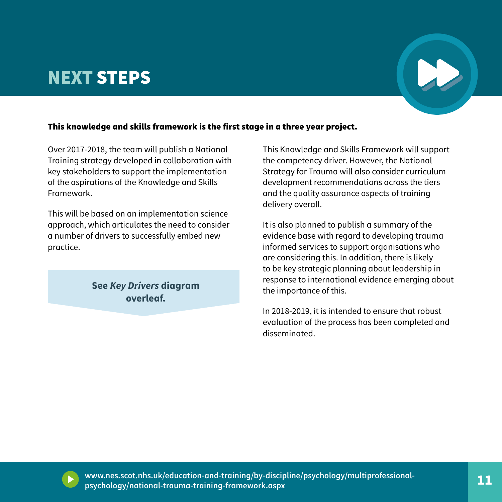### NEXT STEPS



#### This knowledge and skills framework is the first stage in a three year project.

Over 2017-2018, the team will publish a National Training strategy developed in collaboration with key stakeholders to support the implementation of the aspirations of the Knowledge and Skills Framework.

This will be based on an implementation science approach, which articulates the need to consider a number of drivers to successfully embed new practice.

> **See** *Key Drivers* **diagram overleaf.**

This Knowledge and Skills Framework will support the competency driver. However, the National Strategy for Trauma will also consider curriculum development recommendations across the tiers and the quality assurance aspects of training delivery overall.

It is also planned to publish a summary of the evidence base with regard to developing trauma informed services to support organisations who are considering this. In addition, there is likely to be key strategic planning about leadership in response to international evidence emerging about the importance of this.

In 2018-2019, it is intended to ensure that robust evaluation of the process has been completed and disseminated.



10 11 **www.nes.scot.nhs.uk/education-and-training/by-discipline/psychology/multiprofessionalpsychology/national-trauma-training-framework.aspx**